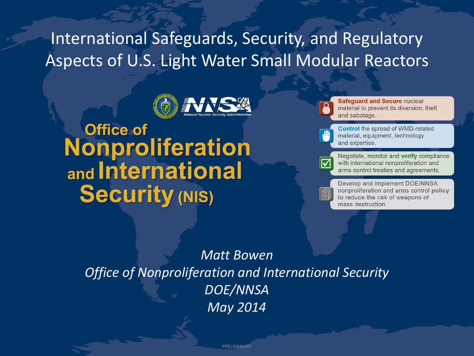# International Safeguards, Security, and Regulatory Aspects of U.S. Light Water Small Modular Reactors



**Office of Nonproliferation** and International **Security (NIS)** 

Safequard and Secure nuclear material to prevent its diversion, theft and sabotage **Control** the spread of WMD-related material, equipment, technology and expertise. Negotiate, monitor and verify compliance with international nonproliferation and arms control treaties and agreements. Develop and implement DOE/NNSA nonproliferation and arms control policy to reduce the risk of weapons of mass destruction.

*Matt Bowen Office of Nonproliferation and International Security DOE/NNSA May 2014*

PRELIMINARY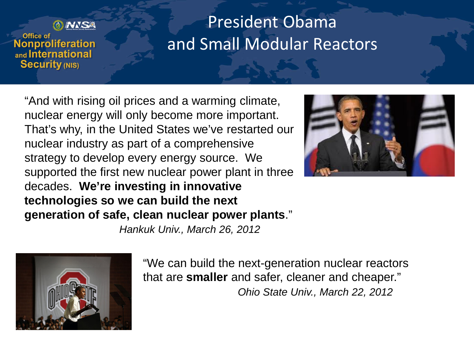

# President Obama and Small Modular Reactors

"And with rising oil prices and a warming climate, nuclear energy will only become more important. That's why, in the United States we've restarted our nuclear industry as part of a comprehensive strategy to develop every energy source. We supported the first new nuclear power plant in three decades. **We're investing in innovative technologies so we can build the next generation of safe, clean nuclear power plants**."



*Hankuk Univ., March 26, 2012*



"We can build the next-generation nuclear reactors that are **smaller** and safer, cleaner and cheaper." *Ohio State Univ., March 22, 2012*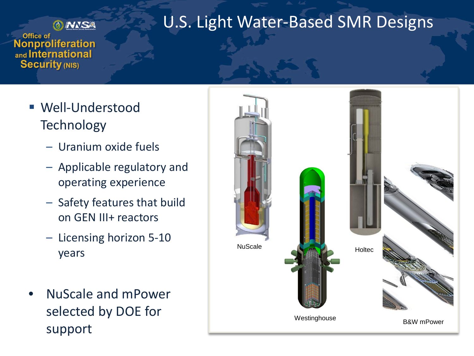

#### U.S. Light Water-Based SMR Designs

Office of **Nonproliferation** and International **Security (NIS)** 

- Well-Understood **Technology** 
	- Uranium oxide fuels
	- Applicable regulatory and operating experience
	- Safety features that build on GEN III+ reactors
	- Licensing horizon 5-10 years
- NuScale and mPower selected by DOE for support

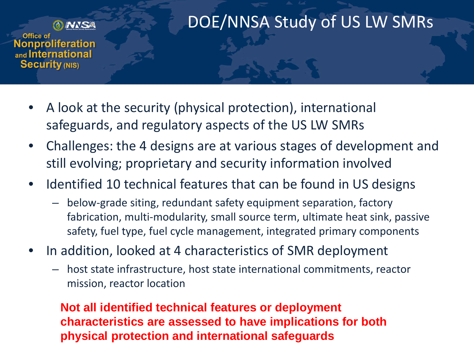

DOE/NNSA Study of US LW SMRs

Office of **Nonproliferation** and International **Security (NIS)** 

- A look at the security (physical protection), international safeguards, and regulatory aspects of the US LW SMRs
- Challenges: the 4 designs are at various stages of development and still evolving; proprietary and security information involved
- Identified 10 technical features that can be found in US designs
	- below-grade siting, redundant safety equipment separation, factory fabrication, multi-modularity, small source term, ultimate heat sink, passive safety, fuel type, fuel cycle management, integrated primary components
- In addition, looked at 4 characteristics of SMR deployment
	- host state infrastructure, host state international commitments, reactor mission, reactor location

**Not all identified technical features or deployment characteristics are assessed to have implications for both physical protection and international safeguards**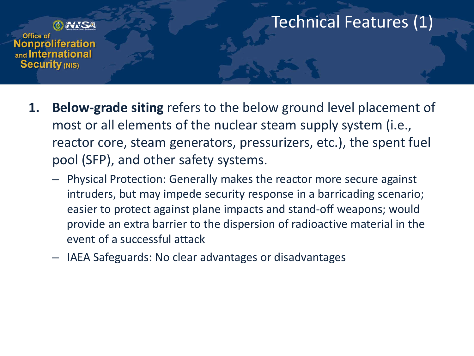

### Technical Features (1)

- **1. Below-grade siting** refers to the below ground level placement of most or all elements of the nuclear steam supply system (i.e., reactor core, steam generators, pressurizers, etc.), the spent fuel pool (SFP), and other safety systems.
	- Physical Protection: Generally makes the reactor more secure against intruders, but may impede security response in a barricading scenario; easier to protect against plane impacts and stand-off weapons; would provide an extra barrier to the dispersion of radioactive material in the event of a successful attack
	- IAEA Safeguards: No clear advantages or disadvantages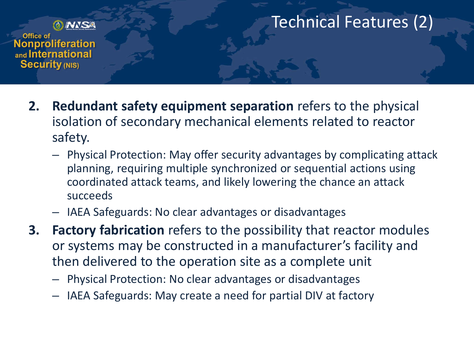

# Technical Features (2)

- **2. Redundant safety equipment separation** refers to the physical isolation of secondary mechanical elements related to reactor safety.
	- Physical Protection: May offer security advantages by complicating attack planning, requiring multiple synchronized or sequential actions using coordinated attack teams, and likely lowering the chance an attack succeeds
	- IAEA Safeguards: No clear advantages or disadvantages
- **3. Factory fabrication** refers to the possibility that reactor modules or systems may be constructed in a manufacturer's facility and then delivered to the operation site as a complete unit
	- Physical Protection: No clear advantages or disadvantages
	- IAEA Safeguards: May create a need for partial DIV at factory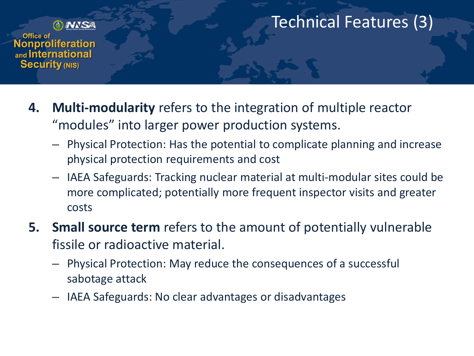

### Technical Features (3)

- **4. Multi-modularity** refers to the integration of multiple reactor "modules" into larger power production systems.
	- Physical Protection: Has the potential to complicate planning and increase physical protection requirements and cost
	- IAEA Safeguards: Tracking nuclear material at multi-modular sites could be more complicated; potentially more frequent inspector visits and greater costs
- **5. Small source term** refers to the amount of potentially vulnerable fissile or radioactive material.
	- Physical Protection: May reduce the consequences of a successful sabotage attack
	- IAEA Safeguards: No clear advantages or disadvantages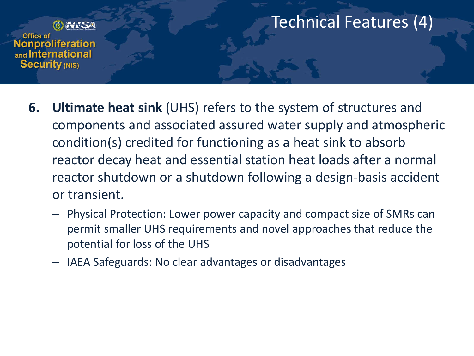

### Technical Features (4)

- **6. Ultimate heat sink** (UHS) refers to the system of structures and components and associated assured water supply and atmospheric condition(s) credited for functioning as a heat sink to absorb reactor decay heat and essential station heat loads after a normal reactor shutdown or a shutdown following a design-basis accident or transient.
	- Physical Protection: Lower power capacity and compact size of SMRs can permit smaller UHS requirements and novel approaches that reduce the potential for loss of the UHS
	- IAEA Safeguards: No clear advantages or disadvantages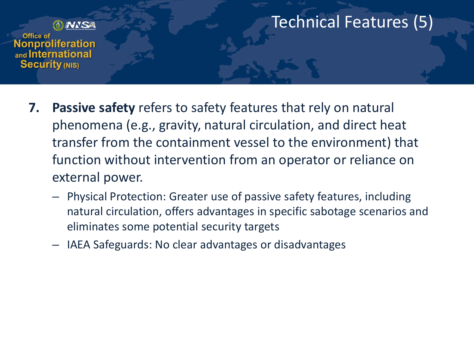

#### Technical Features (5)

- **7. Passive safety** refers to safety features that rely on natural phenomena (e.g., gravity, natural circulation, and direct heat transfer from the containment vessel to the environment) that function without intervention from an operator or reliance on external power.
	- Physical Protection: Greater use of passive safety features, including natural circulation, offers advantages in specific sabotage scenarios and eliminates some potential security targets
	- IAEA Safeguards: No clear advantages or disadvantages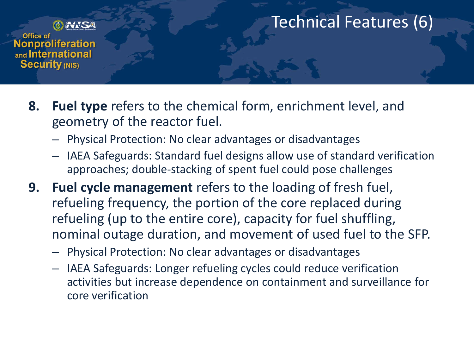

### Technical Features (6)

- **8. Fuel type** refers to the chemical form, enrichment level, and geometry of the reactor fuel.
	- Physical Protection: No clear advantages or disadvantages
	- IAEA Safeguards: Standard fuel designs allow use of standard verification approaches; double-stacking of spent fuel could pose challenges
- **9. Fuel cycle management** refers to the loading of fresh fuel, refueling frequency, the portion of the core replaced during refueling (up to the entire core), capacity for fuel shuffling, nominal outage duration, and movement of used fuel to the SFP.
	- Physical Protection: No clear advantages or disadvantages
	- IAEA Safeguards: Longer refueling cycles could reduce verification activities but increase dependence on containment and surveillance for core verification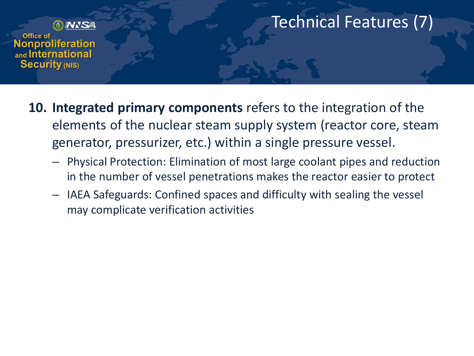

### Technical Features (7)

- **10. Integrated primary components** refers to the integration of the elements of the nuclear steam supply system (reactor core, steam generator, pressurizer, etc.) within a single pressure vessel.
	- Physical Protection: Elimination of most large coolant pipes and reduction in the number of vessel penetrations makes the reactor easier to protect
	- IAEA Safeguards: Confined spaces and difficulty with sealing the vessel may complicate verification activities